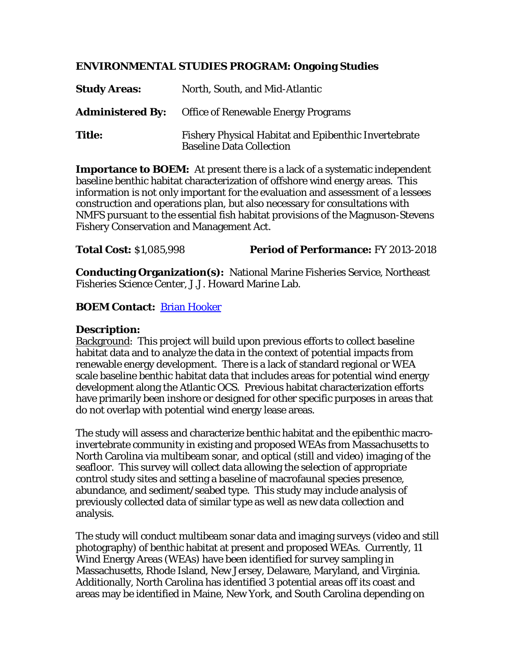## **ENVIRONMENTAL STUDIES PROGRAM: Ongoing Studies**

| <b>Study Areas:</b> | North, South, and Mid-Atlantic                                                                 |
|---------------------|------------------------------------------------------------------------------------------------|
|                     | <b>Administered By:</b> Office of Renewable Energy Programs                                    |
| <b>Title:</b>       | <b>Fishery Physical Habitat and Epibenthic Invertebrate</b><br><b>Baseline Data Collection</b> |

**Importance to BOEM:** At present there is a lack of a systematic independent baseline benthic habitat characterization of offshore wind energy areas. This information is not only important for the evaluation and assessment of a lessees construction and operations plan, but also necessary for consultations with NMFS pursuant to the essential fish habitat provisions of the Magnuson-Stevens Fishery Conservation and Management Act.

**Total Cost:** \$1,085,998 **Period of Performance:** FY 2013-2018

**Conducting Organization(s):** National Marine Fisheries Service, Northeast Fisheries Science Center, J.J. Howard Marine Lab.

## **BOEM Contact:** [Brian Hooker](mailto:brian.hooker@boem.gov)

## **Description:**

Background: This project will build upon previous efforts to collect baseline habitat data and to analyze the data in the context of potential impacts from renewable energy development. There is a lack of standard regional or WEA scale baseline benthic habitat data that includes areas for potential wind energy development along the Atlantic OCS. Previous habitat characterization efforts have primarily been inshore or designed for other specific purposes in areas that do not overlap with potential wind energy lease areas.

The study will assess and characterize benthic habitat and the epibenthic macroinvertebrate community in existing and proposed WEAs from Massachusetts to North Carolina via multibeam sonar, and optical (still and video) imaging of the seafloor. This survey will collect data allowing the selection of appropriate control study sites and setting a baseline of macrofaunal species presence, abundance, and sediment/seabed type. This study may include analysis of previously collected data of similar type as well as new data collection and analysis.

The study will conduct multibeam sonar data and imaging surveys (video and still photography) of benthic habitat at present and proposed WEAs. Currently, 11 Wind Energy Areas (WEAs) have been identified for survey sampling in Massachusetts, Rhode Island, New Jersey, Delaware, Maryland, and Virginia. Additionally, North Carolina has identified 3 potential areas off its coast and areas may be identified in Maine, New York, and South Carolina depending on